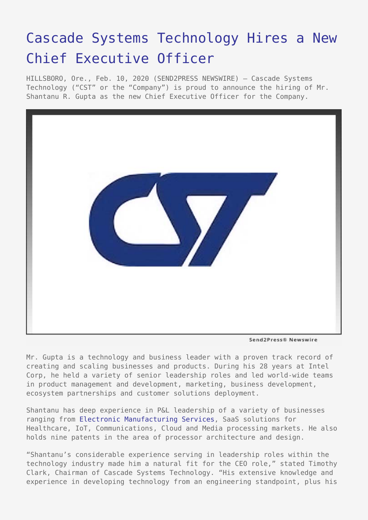## [Cascade Systems Technology Hires a New](https://www.send2press.com/wire/cascade-systems-technology-hires-a-new-chief-executive-officer/) [Chief Executive Officer](https://www.send2press.com/wire/cascade-systems-technology-hires-a-new-chief-executive-officer/)

HILLSBORO, Ore., Feb. 10, 2020 (SEND2PRESS NEWSWIRE) — Cascade Systems Technology ("CST" or the "Company") is proud to announce the hiring of Mr. Shantanu R. Gupta as the new Chief Executive Officer for the Company.



Send2Press® Newswire

Mr. Gupta is a technology and business leader with a proven track record of creating and scaling businesses and products. During his 28 years at Intel Corp, he held a variety of senior leadership roles and led world-wide teams in product management and development, marketing, business development, ecosystem partnerships and customer solutions deployment.

Shantanu has deep experience in P&L leadership of a variety of businesses ranging from [Electronic Manufacturing Services](https://www.cascadesystems.net/manufacturing-services/), SaaS solutions for Healthcare, IoT, Communications, Cloud and Media processing markets. He also holds nine patents in the area of processor architecture and design.

"Shantanu's considerable experience serving in leadership roles within the technology industry made him a natural fit for the CEO role," stated Timothy Clark, Chairman of Cascade Systems Technology. "His extensive knowledge and experience in developing technology from an engineering standpoint, plus his